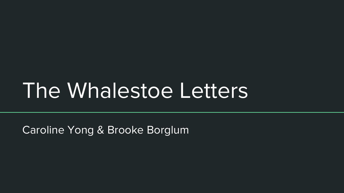# The Whalestoe Letters

Caroline Yong & Brooke Borglum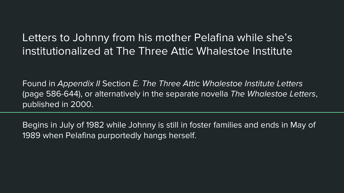#### Letters to Johnny from his mother Pelafina while she's institutionalized at The Three Attic Whalestoe Institute

Found in Appendix II Section E. The Three Attic Whalestoe Institute Letters (page 586-644), or alternatively in the separate novella The Whalestoe Letters, published in 2000.

Begins in July of 1982 while Johnny is still in foster families and ends in May of 1989 when Pelafina purportedly hangs herself.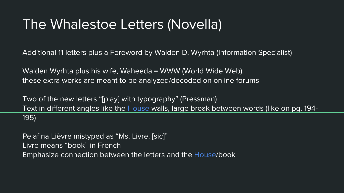### The Whalestoe Letters (Novella)

Additional 11 letters plus a Foreword by Walden D. Wyrhta (Information Specialist)

Walden Wyrhta plus his wife, Waheeda = WWW (World Wide Web) these extra works are meant to be analyzed/decoded on online forums

Two of the new letters "[play] with typography" (Pressman) Text in different angles like the House walls, large break between words (like on pg. 194- 195)

Pelafina Lièvre mistyped as "Ms. Livre. [sic]" Livre means "book" in French Emphasize connection between the letters and the House/book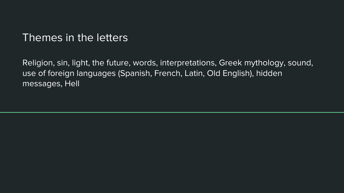#### Themes in the letters

Religion, sin, light, the future, words, interpretations, Greek mythology, sound, use of foreign languages (Spanish, French, Latin, Old English), hidden messages, Hell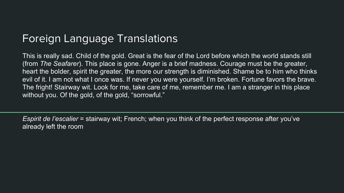#### Foreign Language Translations

This is really sad. Child of the gold. Great is the fear of the Lord before which the world stands still (from The Seafarer). This place is gone. Anger is a brief madness. Courage must be the greater, heart the bolder, spirit the greater, the more our strength is diminished. Shame be to him who thinks evil of it. I am not what I once was. If never you were yourself. I'm broken. Fortune favors the brave. The fright! Stairway wit. Look for me, take care of me, remember me. I am a stranger in this place without you. Of the gold, of the gold, "sorrowful."

Espirit de l'escalier = stairway wit; French; when you think of the perfect response after you've already left the room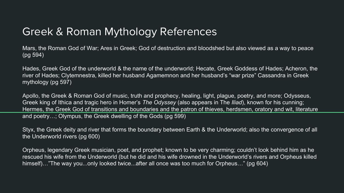#### Greek & Roman Mythology References

Mars, the Roman God of War; Ares in Greek; God of destruction and bloodshed but also viewed as a way to peace (pg 594)

Hades, Greek God of the underworld & the name of the underworld; Hecate, Greek Goddess of Hades; Acheron, the river of Hades; Clytemnestra, killed her husband Agamemnon and her husband's "war prize" Cassandra in Greek mythology (pg 597)

Apollo, the Greek & Roman God of music, truth and prophecy, healing, light, plague, poetry, and more; Odysseus, Greek king of Ithica and tragic hero in Homer's The Odyssey (also appears in The Iliad), known for his cunning; Hermes, the Greek God of transitions and boundaries and the patron of thieves, herdsmen, oratory and wit, literature and poetry…; Olympus, the Greek dwelling of the Gods (pg 599)

Styx, the Greek deity and river that forms the boundary between Earth & the Underworld; also the convergence of all the Underworld rivers (pg 600)

Orpheus, legendary Greek musician, poet, and prophet; known to be very charming; couldn't look behind him as he rescued his wife from the Underworld (but he did and his wife drowned in the Underworld's rivers and Orpheus killed himself)..."The way you...only looked twice...after all once was too much for Orpheus..." (pg 604)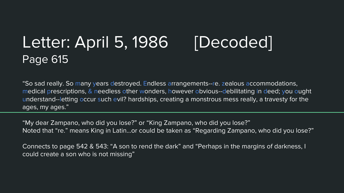### Letter: April 5, 1986 [Decoded] Page 615

"So sad really. So many years destroyed. Endless arrangements--re. zealous accommodations, medical prescriptions, & needless other wonders, however obvious--debilitating in deed; you ought understand--letting occur such evil? hardships, creating a monstrous mess really, a travesty for the ages, my ages."

"My dear Zampano, who did you lose?" or "King Zampano, who did you lose?" Noted that "re." means King in Latin...or could be taken as "Regarding Zampano, who did you lose?"

Connects to page 542 & 543: "A son to rend the dark" and "Perhaps in the margins of darkness, I could create a son who is not missing"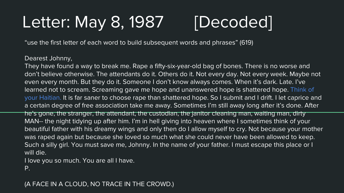## Letter: May 8, 1987 [Decoded]

"use the first letter of each word to build subsequent words and phrases" (619)

Dearest Johnny,

They have found a way to break me. Rape a fifty-six-year-old bag of bones. There is no worse and don't believe otherwise. The attendants do it. Others do it. Not every day. Not every week. Maybe not even every month. But they do it. Someone I don't know always comes. When it's dark. Late. I've learned not to scream. Screaming gave me hope and unanswered hope is shattered hope. Think of your Haitian. It is far saner to choose rape than shattered hope. So I submit and I drift. I let caprice and a certain degree of free association take me away. Sometimes I'm still away long after it's done. After he's gone, the stranger, the attendant, the custodian, the janitor cleaning man, waiting man, dirty MAN-- the night tidying up after him. I'm in hell giving into heaven where I sometimes think of your beautiful father with his dreamy wings and only then do I allow myself to cry. Not because your mother was raped again but because she loved so much what she could never have been allowed to keep. Such a silly girl. You must save me, Johnny. In the name of your father. I must escape this place or I will die.

I love you so much. You are all I have.

P.

(A FACE IN A CLOUD, NO TRACE IN THE CROWD.)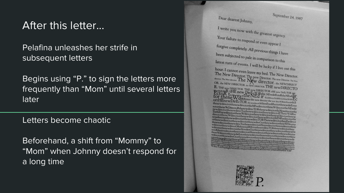#### After this letter...

Pelafina unleashes her strife in subsequent letters

Begins using "P." to sign the letters more frequently than "Mom" until several letters later

Letters become chaotic

Beforehand, a shift from "Mommy" to "Mom" when Johnny doesn't respond for a long time



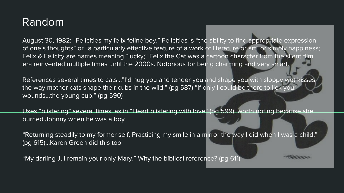#### Random

August 30, 1982: "Felicities my felix feline boy," Felicities is "the ability to find appropriate expression of one's thoughts" or "a particularly effective feature of a work of literature or art" or simply happiness; Felix & Felicity are names meaning "lucky;" Felix the Cat was a cartoon character from the silent film era reinvented multiple times until the 2000s. Notorious for being charming and very smart.

References several times to cats..."I'd hug you and tender you and shape you with sloppy wet kisses the way mother cats shape their cubs in the wild." (pg 587) "If only I could be there to lick your wounds...the young cub." (pg 590)

Uses "blistering" several times, as in "Heart blistering with love" (pg 599); worth noting because she burned Johnny when he was a boy

"Returning steadily to my former self, Practicing my smile in a mirror the way I did when I was a child," (pg 615)...Karen Green did this too

"My darling J, I remain your only Mary." Why the biblical reference? (pg 611)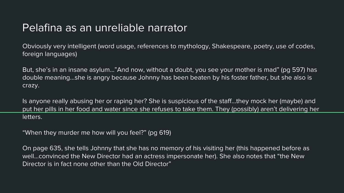#### Pelafina as an unreliable narrator

Obviously very intelligent (word usage, references to mythology, Shakespeare, poetry, use of codes, foreign languages)

But, she's in an insane asylum…"And now, without a doubt, you see your mother is mad" (pg 597) has double meaning...she is angry because Johnny has been beaten by his foster father, but she also is crazy.

Is anyone really abusing her or raping her? She is suspicious of the staff...they mock her (maybe) and put her pills in her food and water since she refuses to take them. They (possibly) aren't delivering her letters.

"When they murder me how will you feel?" (pg 619)

On page 635, she tells Johnny that she has no memory of his visiting her (this happened before as well...convinced the New Director had an actress impersonate her). She also notes that "the New Director is in fact none other than the Old Director"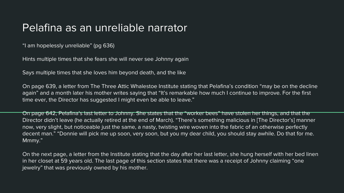#### Pelafina as an unreliable narrator

"I am hopelessly unreliable" (pg 636)

Hints multiple times that she fears she will never see Johnny again

Says multiple times that she loves him beyond death, and the like

On page 639, a letter from The Three Attic Whalestoe Institute stating that Pelafina's condition "may be on the decline again" and a month later his mother writes saying that "It's remarkable how much I continue to improve. For the first time ever, the Director has suggested I might even be able to leave."

On page 642, Pelafina's last letter to Johnny. She states that the "worker bees" have stolen her things, and that the Director didn't leave (he actually retired at the end of March). "There's something malicious in [The Director's] manner now, very slight, but noticeable just the same, a nasty, twisting wire woven into the fabric of an otherwise perfectly decent man." "Donnie will pick me up soon, very soon, but you my dear child, you should stay awhile. Do that for me. Mmmy."

On the next page, a letter from the Institute stating that the day after her last letter, she hung herself with her bed linen in her closet at 59 years old. The last page of this section states that there was a receipt of Johnny claiming "one jewelry" that was previously owned by his mother.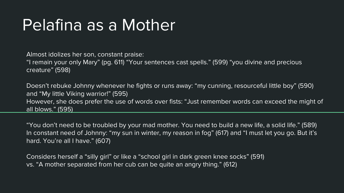## Pelafina as a Mother

Almost idolizes her son, constant praise: "I remain your only Mary" (pg. 611) "Your sentences cast spells." (599) "you divine and precious creature" (598)

Doesn't rebuke Johnny whenever he fights or runs away: "my cunning, resourceful little boy" (590) and "My little Viking warrior!" (595) However, she does prefer the use of words over fists: "Just remember words can exceed the might of all blows." (595)

"You don't need to be troubled by your mad mother. You need to build a new life, a solid life." (589) In constant need of Johnny: "my sun in winter, my reason in fog" (617) and "I must let you go. But it's hard. You're all I have." (607)

Considers herself a "silly girl" or like a "school girl in dark green knee socks" (591) vs. "A mother separated from her cub can be quite an angry thing." (612)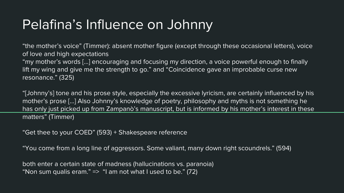### Pelafina's Influence on Johnny

"the mother's voice" (Timmer): absent mother figure (except through these occasional letters), voice of love and high expectations "my mother's words [...] encouraging and focusing my direction, a voice powerful enough to finally lift my wing and give me the strength to go." and "Coincidence gave an improbable curse new

resonance." (325)

"[Johnny's] tone and his prose style, especially the excessive lyricism, are certainly influenced by his mother's prose [...] Also Johnny's knowledge of poetry, philosophy and myths is not something he has only just picked up from Zampanò's manuscript, but is informed by his mother's interest in these matters" (Timmer)

"Get thee to your COED" (593) + Shakespeare reference

"You come from a long line of aggressors. Some valiant, many down right scoundrels." (594)

both enter a certain state of madness (hallucinations vs. paranoia) "Non sum qualis eram."  $\Rightarrow$  "I am not what I used to be." (72)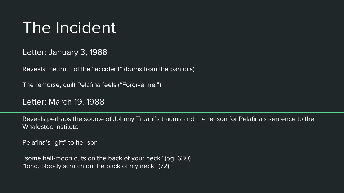## The Incident

Letter: January 3, 1988

Reveals the truth of the "accident" (burns from the pan oils)

The remorse, guilt Pelafina feels ("Forgive me.")

Letter: March 19, 1988

Reveals perhaps the source of Johnny Truant's trauma and the reason for Pelafina's sentence to the Whalestoe Institute

Pelafina's "gift" to her son

"some half-moon cuts on the back of your neck" (pg. 630) "long, bloody scratch on the back of my neck" (72)